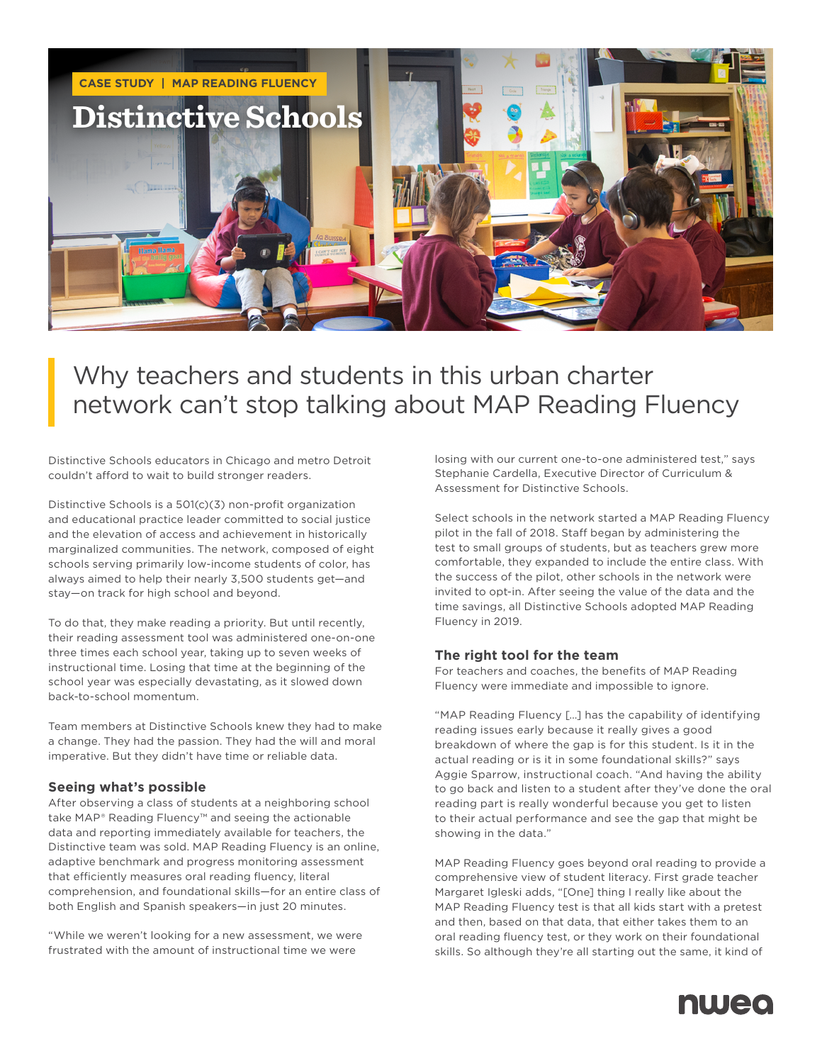

# Why teachers and students in this urban charter network can't stop talking about MAP Reading Fluency

Distinctive Schools educators in Chicago and metro Detroit couldn't afford to wait to build stronger readers.

Distinctive Schools is a 501(c)(3) non-profit organization and educational practice leader committed to social justice and the elevation of access and achievement in historically marginalized communities. The network, composed of eight schools serving primarily low-income students of color, has always aimed to help their nearly 3,500 students get—and stay—on track for high school and beyond.

To do that, they make reading a priority. But until recently, their reading assessment tool was administered one-on-one three times each school year, taking up to seven weeks of instructional time. Losing that time at the beginning of the school year was especially devastating, as it slowed down back-to-school momentum.

Team members at Distinctive Schools knew they had to make a change. They had the passion. They had the will and moral imperative. But they didn't have time or reliable data.

## **Seeing what's possible**

After observing a class of students at a neighboring school take MAP® Reading Fluency™ and seeing the actionable data and reporting immediately available for teachers, the Distinctive team was sold. MAP Reading Fluency is an online, adaptive benchmark and progress monitoring assessment that efficiently measures oral reading fluency, literal comprehension, and foundational skills—for an entire class of both English and Spanish speakers—in just 20 minutes.

"While we weren't looking for a new assessment, we were frustrated with the amount of instructional time we were

losing with our current one-to-one administered test," says Stephanie Cardella, Executive Director of Curriculum & Assessment for Distinctive Schools.

Select schools in the network started a MAP Reading Fluency pilot in the fall of 2018. Staff began by administering the test to small groups of students, but as teachers grew more comfortable, they expanded to include the entire class. With the success of the pilot, other schools in the network were invited to opt-in. After seeing the value of the data and the time savings, all Distinctive Schools adopted MAP Reading Fluency in 2019.

## **The right tool for the team**

For teachers and coaches, the benefits of MAP Reading Fluency were immediate and impossible to ignore.

"MAP Reading Fluency […] has the capability of identifying reading issues early because it really gives a good breakdown of where the gap is for this student. Is it in the actual reading or is it in some foundational skills?" says Aggie Sparrow, instructional coach. "And having the ability to go back and listen to a student after they've done the oral reading part is really wonderful because you get to listen to their actual performance and see the gap that might be showing in the data."

MAP Reading Fluency goes beyond oral reading to provide a comprehensive view of student literacy. First grade teacher Margaret Igleski adds, "[One] thing I really like about the MAP Reading Fluency test is that all kids start with a pretest and then, based on that data, that either takes them to an oral reading fluency test, or they work on their foundational skills. So although they're all starting out the same, it kind of